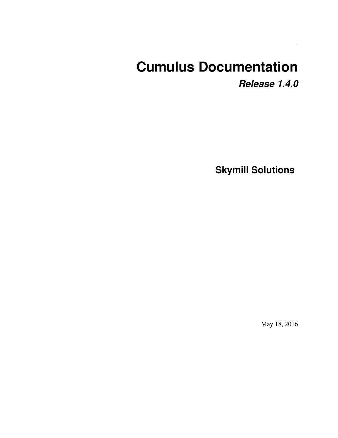# **Cumulus Documentation**

*Release 1.4.0*

**Skymill Solutions**

May 18, 2016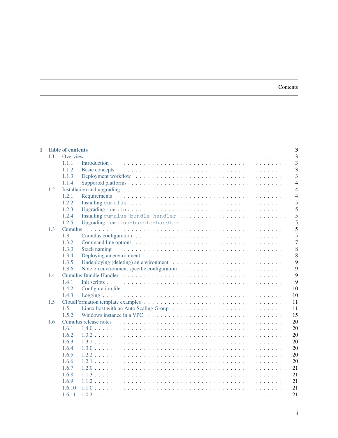| <b>Table of contents</b><br>1 |     |         |                                                                                                                 |                |  |  |  |  |  |  |
|-------------------------------|-----|---------|-----------------------------------------------------------------------------------------------------------------|----------------|--|--|--|--|--|--|
|                               | 1.1 |         |                                                                                                                 | 3              |  |  |  |  |  |  |
|                               |     | 1.1.1   |                                                                                                                 | 3              |  |  |  |  |  |  |
|                               |     | 1.1.2   |                                                                                                                 | $\overline{3}$ |  |  |  |  |  |  |
|                               |     | 1.1.3   |                                                                                                                 | $\overline{3}$ |  |  |  |  |  |  |
|                               |     | 1.1.4   |                                                                                                                 | $\overline{4}$ |  |  |  |  |  |  |
|                               | 1.2 |         |                                                                                                                 | $\overline{4}$ |  |  |  |  |  |  |
|                               |     | 1.2.1   |                                                                                                                 | $\overline{4}$ |  |  |  |  |  |  |
|                               |     | 1.2.2   |                                                                                                                 | 5              |  |  |  |  |  |  |
|                               |     | 1.2.3   |                                                                                                                 | 5              |  |  |  |  |  |  |
|                               |     | 1.2.4   | Installing cumulus-bundle-handler                                                                               | 5              |  |  |  |  |  |  |
|                               |     | 1.2.5   |                                                                                                                 | 5              |  |  |  |  |  |  |
|                               | 1.3 | Cumulus |                                                                                                                 | 5              |  |  |  |  |  |  |
|                               |     | 1.3.1   |                                                                                                                 | 5              |  |  |  |  |  |  |
|                               |     | 1.3.2   |                                                                                                                 | $\overline{7}$ |  |  |  |  |  |  |
|                               |     | 1.3.3   |                                                                                                                 | 8              |  |  |  |  |  |  |
|                               |     | 1.3.4   |                                                                                                                 | 8              |  |  |  |  |  |  |
|                               |     | 1.3.5   | Undeploying (deleting) an environment $\dots \dots \dots \dots \dots \dots \dots \dots \dots \dots \dots$       | 9              |  |  |  |  |  |  |
|                               |     | 1.3.6   |                                                                                                                 | 9              |  |  |  |  |  |  |
|                               | 1.4 | 9       |                                                                                                                 |                |  |  |  |  |  |  |
|                               |     | 1.4.1   |                                                                                                                 | 9              |  |  |  |  |  |  |
|                               |     | 1.4.2   |                                                                                                                 | 10             |  |  |  |  |  |  |
|                               |     | 1.4.3   |                                                                                                                 | 10             |  |  |  |  |  |  |
|                               | 1.5 | 11      |                                                                                                                 |                |  |  |  |  |  |  |
|                               |     | 1.5.1   |                                                                                                                 | 11             |  |  |  |  |  |  |
|                               |     | 1.5.2   | Windows instance in a VPC $\ldots \ldots \ldots \ldots \ldots \ldots \ldots \ldots \ldots \ldots \ldots \ldots$ | 15             |  |  |  |  |  |  |
|                               | 1.6 |         |                                                                                                                 | 20             |  |  |  |  |  |  |
|                               |     | 1.6.1   |                                                                                                                 | 20             |  |  |  |  |  |  |
|                               |     | 1.6.2   |                                                                                                                 | 20             |  |  |  |  |  |  |
|                               |     | 1.6.3   |                                                                                                                 | 20             |  |  |  |  |  |  |
|                               |     | 1.6.4   |                                                                                                                 | 20             |  |  |  |  |  |  |
|                               |     | 1.6.5   |                                                                                                                 | 20             |  |  |  |  |  |  |
|                               |     | 1.6.6   |                                                                                                                 | 20             |  |  |  |  |  |  |
|                               |     | 1.6.7   |                                                                                                                 | 21             |  |  |  |  |  |  |
|                               |     | 1.6.8   |                                                                                                                 | 21             |  |  |  |  |  |  |
|                               |     | 1.6.9   |                                                                                                                 | 21             |  |  |  |  |  |  |
|                               |     | 1.6.10  |                                                                                                                 | 21             |  |  |  |  |  |  |
|                               |     | 1.6.11  |                                                                                                                 | 21             |  |  |  |  |  |  |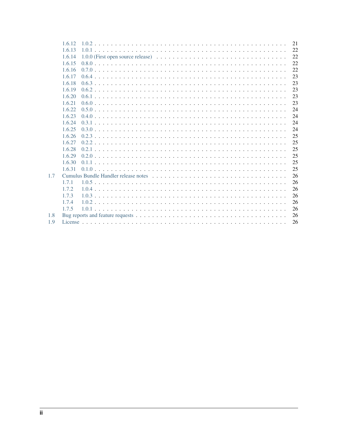|     | 1.6.12 | 21 |
|-----|--------|----|
|     | 1.6.13 | 22 |
|     | 1.6.14 | 22 |
|     | 1.6.15 | 22 |
|     | 1.6.16 | 22 |
|     | 1.6.17 | 23 |
|     | 1.6.18 | 23 |
|     | 1.6.19 | 23 |
|     | 1.6.20 | 23 |
|     | 1.6.21 | 23 |
|     | 1.6.22 | 24 |
|     | 1.6.23 | 24 |
|     | 1.6.24 | 24 |
|     | 1.6.25 | 24 |
|     | 1.6.26 | 25 |
|     | 1.6.27 | 25 |
|     | 1.6.28 | 25 |
|     | 1.6.29 | 25 |
|     | 1.6.30 | 25 |
|     | 1.6.31 | 25 |
| 1.7 |        | 26 |
|     | 1.7.1  | 26 |
|     | 1.7.2  | 26 |
|     | 1.7.3  | 26 |
|     | 1.7.4  | 26 |
|     | 1.7.5  | 26 |
| 1.8 |        | 26 |
| 1.9 |        | 26 |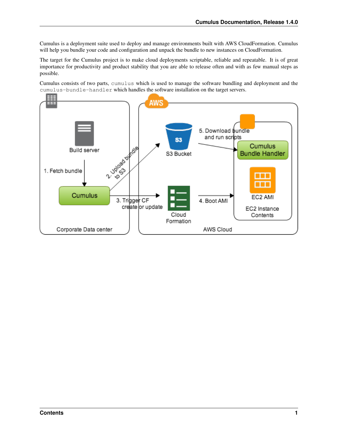Cumulus is a deployment suite used to deploy and manage environments built with AWS CloudFormation. Cumulus will help you bundle your code and configuration and unpack the bundle to new instances on CloudFormation.

The target for the Cumulus project is to make cloud deployments scriptable, reliable and repeatable. It is of great importance for productivity and product stability that you are able to release often and with as few manual steps as possible.

Cumulus consists of two parts, cumulus which is used to manage the software bundling and deployment and the cumulus-bundle-handler which handles the software installation on the target servers.

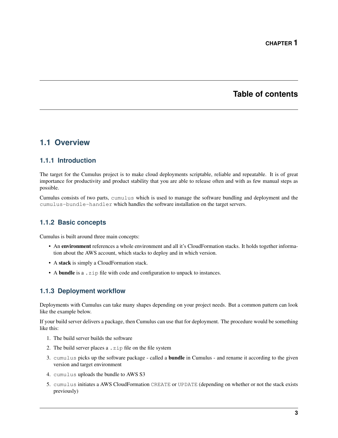# **Table of contents**

# <span id="page-6-1"></span><span id="page-6-0"></span>**1.1 Overview**

# <span id="page-6-2"></span>**1.1.1 Introduction**

The target for the Cumulus project is to make cloud deployments scriptable, reliable and repeatable. It is of great importance for productivity and product stability that you are able to release often and with as few manual steps as possible.

Cumulus consists of two parts, cumulus which is used to manage the software bundling and deployment and the cumulus-bundle-handler which handles the software installation on the target servers.

# <span id="page-6-3"></span>**1.1.2 Basic concepts**

Cumulus is built around three main concepts:

- An environment references a whole environment and all it's CloudFormation stacks. It holds together information about the AWS account, which stacks to deploy and in which version.
- A stack is simply a CloudFormation stack.
- A bundle is a .zip file with code and configuration to unpack to instances.

# <span id="page-6-4"></span>**1.1.3 Deployment workflow**

Deployments with Cumulus can take many shapes depending on your project needs. But a common pattern can look like the example below.

If your build server delivers a package, then Cumulus can use that for deployment. The procedure would be something like this:

- 1. The build server builds the software
- 2. The build server places a .zip file on the file system
- 3. cumulus picks up the software package called a bundle in Cumulus and rename it according to the given version and target environment
- 4. cumulus uploads the bundle to AWS S3
- 5. cumulus initiates a AWS CloudFormation CREATE or UPDATE (depending on whether or not the stack exists previously)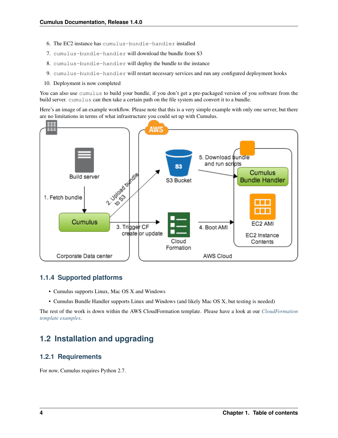- 6. The EC2 instance has cumulus-bundle-handler installed
- 7. cumulus-bundle-handler will download the bundle from S3
- 8. cumulus-bundle-handler will deploy the bundle to the instance
- 9. cumulus-bundle-handler will restart necessary services and run any configured deployment hooks
- 10. Deployment is now completed

You can also use cumulus to build your bundle, if you don't get a pre-packaged version of you software from the build server. cumulus can then take a certain path on the file system and convert it to a bundle.

Here's an image of an example workflow. Please note that this is a very simple example with only one server, but there are no limitations in terms of what infrastructure you could set up with Cumulus.



### <span id="page-7-0"></span>**1.1.4 Supported platforms**

- Cumulus supports Linux, Mac OS X and Windows
- Cumulus Bundle Handler supports Linux and Windows (and likely Mac OS X, but testing is needed)

The rest of the work is down within the AWS CloudFormation template. Please have a look at our *[CloudFormation](#page-14-0) [template examples](#page-14-0)*.

# <span id="page-7-1"></span>**1.2 Installation and upgrading**

### <span id="page-7-2"></span>**1.2.1 Requirements**

For now, Cumulus requires Python 2.7.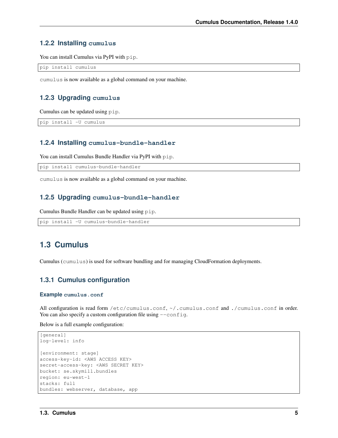### <span id="page-8-0"></span>**1.2.2 Installing cumulus**

You can install Cumulus via PyPI with pip.

```
pip install cumulus
```
cumulus is now available as a global command on your machine.

### <span id="page-8-1"></span>**1.2.3 Upgrading cumulus**

Cumulus can be updated using pip.

```
pip install -U cumulus
```
### <span id="page-8-2"></span>**1.2.4 Installing cumulus-bundle-handler**

You can install Cumulus Bundle Handler via PyPI with pip.

pip install cumulus-bundle-handler

cumulus is now available as a global command on your machine.

### <span id="page-8-3"></span>**1.2.5 Upgrading cumulus-bundle-handler**

Cumulus Bundle Handler can be updated using pip.

```
pip install -U cumulus-bundle-handler
```
# <span id="page-8-4"></span>**1.3 Cumulus**

Cumulus (cumulus) is used for software bundling and for managing CloudFormation deployments.

### <span id="page-8-5"></span>**1.3.1 Cumulus configuration**

#### **Example cumulus.conf**

All configuration is read form /etc/cumulus.conf, ~/.cumulus.conf and ./cumulus.conf in order. You can also specify a custom configuration file using  $--$ config.

Below is a full example configuration:

```
[general]
log-level: info
[environment: stage]
access-key-id: <AWS ACCESS KEY>
secret-access-key: <AWS SECRET KEY>
bucket: se.skymill.bundles
region: eu-west-1
stacks: full
bundles: webserver, database, app
```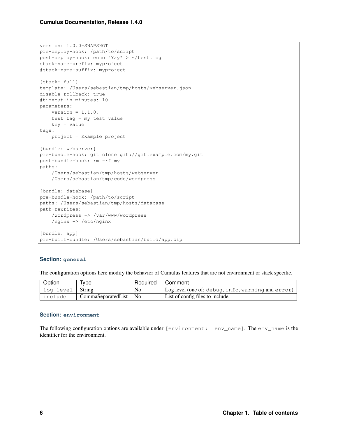```
version: 1.0.0-SNAPSHOT
pre-deploy-hook: /path/to/script
post-deploy-hook: echo "Yay" > ~/test.log
stack-name-prefix: myproject
#stack-name-suffix: myproject
[stack: full]
template: /Users/sebastian/tmp/hosts/webserver.json
disable-rollback: true
#timeout-in-minutes: 10
parameters:
   version = 1.1.0,
   test tag = my test value
   key = value
tags:
   project = Example project
[bundle: webserver]
pre-bundle-hook: git clone git://git.example.com/my.git
post-bundle-hook: rm -rf my
paths:
    /Users/sebastian/tmp/hosts/webserver
    /Users/sebastian/tmp/code/wordpress
[bundle: database]
pre-bundle-hook: /path/to/script
paths: /Users/sebastian/tmp/hosts/database
path-rewrites:
   /wordpress -> /var/www/wordpress
    /nginx -> /etc/nginx
[bundle: app]
pre-built-bundle: /Users/sebastian/build/app.zip
```
### **Section: general**

The configuration options here modify the behavior of Cumulus features that are not environment or stack specific.

| Option             | Type                    | Required   Comment |                                                    |
|--------------------|-------------------------|--------------------|----------------------------------------------------|
| log-level   String |                         | No                 | Log level (one of: debug, info, warning and error) |
| include            | CommaSeparatedList   No |                    | List of config files to include                    |

#### **Section: environment**

The following configuration options are available under [environment: env\_name]. The env\_name is the identifier for the environment.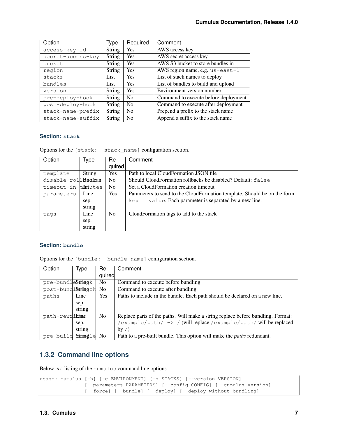| Option            | Type          | Required       | Comment                              |
|-------------------|---------------|----------------|--------------------------------------|
| access-key-id     | String        | Yes            | AWS access key                       |
| secret-access-key | <b>String</b> | Yes            | AWS secret access key                |
| bucket            | <b>String</b> | Yes            | AWS S3 bucket to store bundles in    |
| region            | <b>String</b> | Yes            | AWS region name, e.g. us-east-1      |
| stacks            | List          | Yes            | List of stack names to deploy        |
| bundles           | List          | <b>Yes</b>     | List of bundles to build and upload  |
| version           | String        | <b>Yes</b>     | Environment version number           |
| pre-deploy-hook   | String        | N <sub>0</sub> | Command to execute before deployment |
| post-deploy-hook  | <b>String</b> | N <sub>0</sub> | Command to execute after deployment  |
| stack-name-prefix | String        | N <sub>0</sub> | Prepend a prefix to the stack name   |
| stack-name-suffix | <b>String</b> | N <sub>0</sub> | Append a suffix to the stack name    |

#### **Section: stack**

Options for the [stack: stack\_name] configuration section.

| Option                    | Type   | Re-            | Comment                                                                  |
|---------------------------|--------|----------------|--------------------------------------------------------------------------|
|                           |        | quired         |                                                                          |
| <b>String</b><br>template |        | Yes            | Path to local CloudFormation JSON file                                   |
| disable-rollBackan        |        | N <sub>0</sub> | Should CloudFormation rollbacks be disabled? Default: false              |
| timeout-in-mIntutes       |        | No             | Set a CloudFormation creation timeout                                    |
| parameters                | Line   | Yes            | Parameters to send to the CloudFormation template. Should be on the form |
|                           | sep.   |                | $key = value$ . Each parameter is separated by a new line.               |
|                           | string |                |                                                                          |
| tags                      | Line   | N <sub>0</sub> | CloudFormation tags to add to the stack                                  |
|                           | sep.   |                |                                                                          |
|                           | string |                |                                                                          |

#### **Section: bundle**

Options for the [bundle: bundle\_name] configuration section.

| Option             | Type   | Re-            | Comment                                                                         |
|--------------------|--------|----------------|---------------------------------------------------------------------------------|
|                    |        | quired         |                                                                                 |
| pre-bundleStmingk  |        | N <sub>0</sub> | Command to execute before bundling                                              |
| post-bundlStringok |        | N <sub>o</sub> | Command to execute after bundling                                               |
| paths              | Line   | Yes            | Paths to include in the bundle. Each path should be declared on a new line.     |
|                    | sep.   |                |                                                                                 |
|                    | string |                |                                                                                 |
| path-rewritime     |        | N <sub>0</sub> | Replace parts of the paths. Will make a string replace before bundling. Format: |
|                    | sep.   |                | /example/path/ -> / (will replace /example/path/ will be replaced               |
|                    | string |                | by $\left\langle \right\rangle$                                                 |
| pre-build-Stuingle |        | N <sub>0</sub> | Path to a pre-built bundle. This option will make the <i>paths</i> redundant.   |

# <span id="page-10-0"></span>**1.3.2 Command line options**

Below is a listing of the cumulus command line options.

```
usage: cumulus [-h] [-e ENVIRONMENT] [-s STACKS] [--version VERSION]
               [--parameters PARAMETERS] [--config CONFIG] [--cumulus-version]
               [--force] [--bundle] [--deploy] [--deploy-without-bundling]
```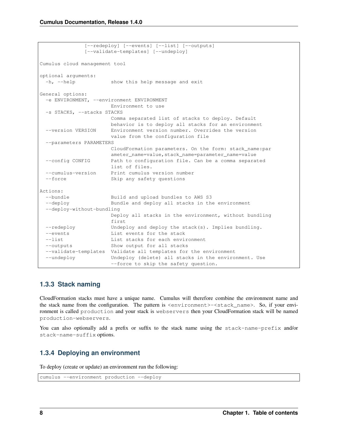```
[--redeploy] [--events] [--list] [--outputs]
              [--validate-templates] [--undeploy]
Cumulus cloud management tool
optional arguments:
 -h, --help show this help message and exit
General options:
 -e ENVIRONMENT, --environment ENVIRONMENT
                     Environment to use
 -s STACKS, --stacks STACKS
                     Comma separated list of stacks to deploy. Default
                     behavior is to deploy all stacks for an environment
 --version VERSION Environment version number. Overrides the version
                      value from the configuration file
 --parameters PARAMETERS
                      CloudFormation parameters. On the form: stack_name:par
                      ameter_name=value, stack_name=parameter_name=value
 --config CONFIG Path to configuration file. Can be a comma separated
                     list of files.
 --cumulus-version Print cumulus version number
 --force Skip any safety questions
Actions:
 --bundle Build and upload bundles to AWS S3
 --deploy Bundle and deploy all stacks in the environment
 --deploy-without-bundling
                     Deploy all stacks in the environment, without bundling
                     first
 --redeploy Undeploy and deploy the stack(s). Implies bundling.
 --events List events for the stack
  --list clist stacks for each environment
 --outputs Show output for all stacks
 --validate-templates Validate all templates for the environment
 --undeploy Undeploy (delete) all stacks in the environment. Use
                     --force to skip the safety question.
```
# <span id="page-11-0"></span>**1.3.3 Stack naming**

CloudFormation stacks must have a unique name. Cumulus will therefore combine the environment name and the stack name from the configuration. The pattern is  $\langle$  environment  $\rangle$  - $\langle$  stack name  $\rangle$ . So, if your environment is called production and your stack is webservers then your CloudFormation stack will be named production-webservers.

You can also optionally add a prefix or suffix to the stack name using the stack-name-prefix and/or stack-name-suffix options.

# <span id="page-11-1"></span>**1.3.4 Deploying an environment**

To deploy (create or update) an environment run the following:

```
cumulus --environment production --deploy
```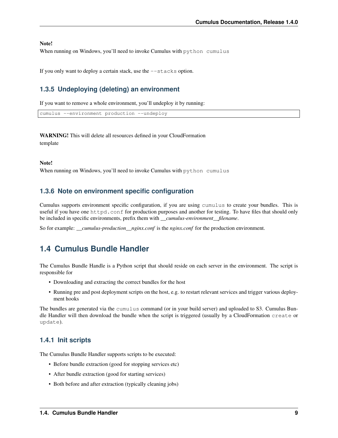#### Note!

When running on Windows, you'll need to invoke Cumulus with python cumulus

If you only want to deploy a certain stack, use the  $-$ stacks option.

### <span id="page-12-0"></span>**1.3.5 Undeploying (deleting) an environment**

If you want to remove a whole environment, you'll undeploy it by running:

```
cumulus --environment production --undeploy
```
# WARNING! This will delete all resources defined in your CloudFormation

template

Note!

When running on Windows, you'll need to invoke Cumulus with python cumulus

### <span id="page-12-1"></span>**1.3.6 Note on environment specific configuration**

Cumulus supports environment specific configuration, if you are using cumulus to create your bundles. This is useful if you have one httpd.conf for production purposes and another for testing. To have files that should only be included in specific environments, prefix them with *\_\_cumulus-environment\_\_filename*.

So for example: *\_\_cumulus-production\_\_nginx.conf* is the *nginx.conf* for the production environment.

# <span id="page-12-2"></span>**1.4 Cumulus Bundle Handler**

The Cumulus Bundle Handle is a Python script that should reside on each server in the environment. The script is responsible for

- Downloading and extracting the correct bundles for the host
- Running pre and post deployment scripts on the host, e.g. to restart relevant services and trigger various deployment hooks

The bundles are generated via the cumulus command (or in your build server) and uploaded to S3. Cumulus Bundle Handler will then download the bundle when the script is triggered (usually by a CloudFormation create or update).

### <span id="page-12-3"></span>**1.4.1 Init scripts**

The Cumulus Bundle Handler supports scripts to be executed:

- Before bundle extraction (good for stopping services etc)
- After bundle extraction (good for starting services)
- Both before and after extraction (typically cleaning jobs)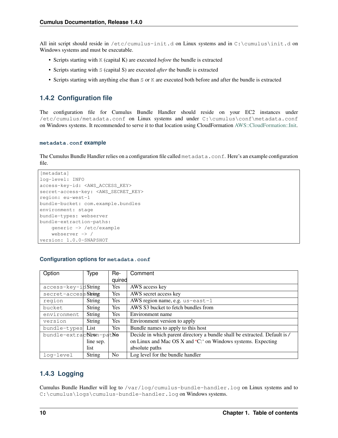All init script should reside in /etc/cumulus-init.d on Linux systems and in C:\cumulus\init.d on Windows systems and must be executable.

- Scripts starting with K (capital K) are executed *before* the bundle is extracted
- Scripts starting with S (capital S) are executed *after* the bundle is extracted
- Scripts starting with anything else than S or K are executed both before and after the bundle is extracted

# <span id="page-13-0"></span>**1.4.2 Configuration file**

The configuration file for Cumulus Bundle Handler should reside on your EC2 instances under /etc/cumulus/metadata.conf on Linux systems and under C:\cumulus\conf\metadata.conf on Windows systems. It recommended to serve it to that location using CloudFormation [AWS::CloudFormation::Init.](http://docs.aws.amazon.com/AWSCloudFormation/latest/UserGuide/aws-resource-init.html#aws-resource-init-files)

#### **metadata.conf example**

The Cumulus Bundle Handler relies on a configuration file called metadata.conf. Here's an example configuration file.

```
[metadata]
log-level: INFO
access-key-id: <AWS_ACCESS_KEY>
secret-access-key: <AWS_SECRET_KEY>
region: eu-west-1
bundle-bucket: com.example.bundles
environment: stage
bundle-types: webserver
bundle-extraction-paths:
   generic -> /etc/example
   webserver -> /
version: 1.0.0-SNAPSHOT
```
### **Configuration options for metadata.conf**

| Option                  | Type          | Re-            | Comment                                                                    |
|-------------------------|---------------|----------------|----------------------------------------------------------------------------|
|                         |               | quired         |                                                                            |
| $access-key-ikString$   |               | Yes            | AWS access key                                                             |
| secret-accessString     |               | <b>Yes</b>     | AWS secret access key                                                      |
| region                  | String        | <b>Yes</b>     | AWS region name, e.g. us-east-1                                            |
| bucket                  | String        | Yes            | AWS S3 bucket to fetch bundles from                                        |
| environment             | <b>String</b> | <b>Yes</b>     | Environment name                                                           |
| version                 | <b>String</b> | <b>Yes</b>     | Environment version to apply                                               |
| bundle-types            | List          | <b>Yes</b>     | Bundle names to apply to this host                                         |
| bundle-extracNewn-patNe |               |                | Decide in which parent directory a bundle shall be extracted. Default is / |
|                         | line sep.     |                | on Linux and Mac OS X and 'C:' on Windows systems. Expecting               |
|                         | list          |                | absolute paths                                                             |
| log-level               | String        | N <sub>0</sub> | Log level for the bundle handler                                           |

# <span id="page-13-1"></span>**1.4.3 Logging**

Cumulus Bundle Handler will log to /var/log/cumulus-bundle-handler.log on Linux systems and to C:\cumulus\logs\cumulus-bundle-handler.log on Windows systems.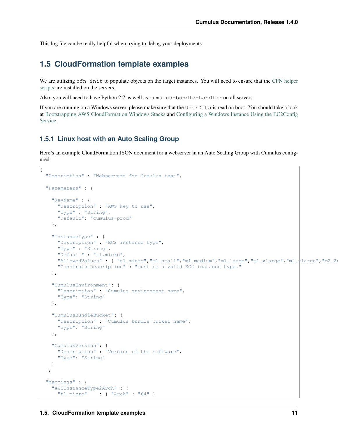This log file can be really helpful when trying to debug your deployments.

# <span id="page-14-0"></span>**1.5 CloudFormation template examples**

We are utilizing cfn-init to populate objects on the target instances. You will need to ensure that the [CFN helper](http://docs.aws.amazon.com/AWSCloudFormation/latest/UserGuide/cfn-helper-scripts-reference.html) [scripts](http://docs.aws.amazon.com/AWSCloudFormation/latest/UserGuide/cfn-helper-scripts-reference.html) are installed on the servers.

Also, you will need to have Python 2.7 as well as cumulus-bundle-handler on all servers.

If you are running on a Windows server, please make sure that the UserData is read on boot. You should take a look at [Bootstrapping AWS CloudFormation Windows Stacks](http://docs.aws.amazon.com/AWSCloudFormation/latest/UserGuide/cfn-windows-stacks-bootstrapping.html) and [Configuring a Windows Instance Using the EC2Config](http://docs.aws.amazon.com/AWSEC2/latest/WindowsGuide/UsingConfig_WinAMI.html) [Service.](http://docs.aws.amazon.com/AWSEC2/latest/WindowsGuide/UsingConfig_WinAMI.html)

### <span id="page-14-1"></span>**1.5.1 Linux host with an Auto Scaling Group**

Here's an example CloudFormation JSON document for a webserver in an Auto Scaling Group with Cumulus configured.

```
{
  "Description" : "Webservers for Cumulus test",
  "Parameters" : {
   "KeyName" : {
     "Description" : "AWS key to use",
     "Type" : "String",
      "Default": "cumulus-prod"
   },
   "InstanceType" : {
     "Description" : "EC2 instance type",
     "Type" : "String",
     "Default" : "t1.micro",
     "AllowedValues" : [ "t1.micro","m1.small","m1.medium","m1.large","m1.xlarge","m2.xlarge","m2.2x
     "ConstraintDescription" : "must be a valid EC2 instance type."
   },
   "CumulusEnvironment": {
     "Description" : "Cumulus environment name",
      "Type": "String"
   },
    "CumulusBundleBucket": {
     "Description" : "Cumulus bundle bucket name",
      "Type": "String"
   },
   "CumulusVersion": {
     "Description" : "Version of the software",
      "Type": "String"
   }
 },
 "Mappings" : {
    "AWSInstanceType2Arch" : {
      "t1.micro" : { "Arch" : "64" }
```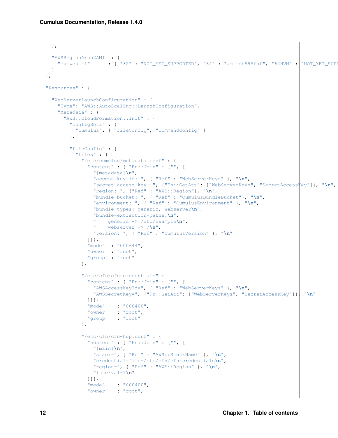```
},
  "AWSRegionArch2AMI" : {
   "eu-west-1" : { "32" : "NOT_YET_SUPPORTED", "64" : "ami-db595faf", "64HVM" : "NOT_YET_SUPPORTED" }
  }
},
"Resources" : {
  "WebServerLaunchConfiguration" : {
   "Type": "AWS::AutoScaling::LaunchConfiguration",
    "Metadata" : {
     "AWS::CloudFormation::Init" : {
        "configSets" : {
          "cumulus": [ "fileConfig", "commandConfig" ]
        },
        "fileConfig" : {
          "files" : {
            "/etc/cumulus/metadata.conf" : {
              "content" : { "Fn::Join" : ["", [
                "[metadata]\n",
                "access-key-id: ", { "Ref" : "WebServerKeys" }, "\n",
                "secret-access-key: ", {"Fn::GetAtt": ["WebServerKeys", "SecretAccesskey"]}, "\n",
                "region: ", {"Ref" : "AWS::Region"}, "\n",
                "bundle-bucket: ", { "Ref" : "CumulusBundleBucket"}, "\n",
                "environment: ", { "Ref" : "CumulusEnvironment" }, "\n",
                "bundle-types: generic, webserver\n",
                "bundle-extraction-paths:\n",
                " generic -> /etc/example\n",
                " webserver -> /\n",
                "version: ", { "Ref" : "CumulusVersion" }, "\n"
              ]]},
              "mode" : "000644",
              "owner" : "root",
              "group" : "root"
            },
            "/etc/cfn/cfn-credentials" : {
              "content" : { "Fn::Join" : ["", [
               "AWSAccessKeyId=", { "Ref" : "WebServerKeys" }, "\n",
                "AWSSecretKey=", {"Fn::GetAtt": ["WebServerKeys", "SecretAccessKey"]}, "\n"
              ]]},
              "mode" : "000400",
              "owner" : "root",
              "group" : "root"
            },
            "/etc/cfn/cfn-hup.conf" : {
              "content" : { "Fn::Join" : ["", [
                "[main]\n",
               "stack=", { "Ref" : "AWS::StackName" }, "\n",
                "credential-file=/etc/cfn/cfn-credentials\n",
                "region=", { "Ref" : "AWS::Region" }, "\n",
                "interval=1\n"
              ]]},<br>"mode"
                       "mode" : "000400",
              "owner" : "root",
```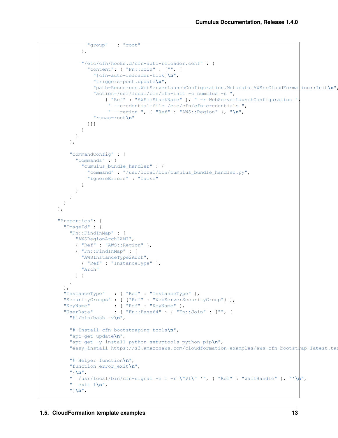```
"group" : "root"
       },
        "/etc/cfn/hooks.d/cfn-auto-reloader.conf" : {
          "content": { "Fn::Join" : ["", [
           "[cfn-auto-reloader-hook]\n",
            "triggers=post.update\n",
            "path=Resources.WebServerLaunchConfiguration.Metadata.AWS::CloudFormation::Init\n",
            "action=/usr/local/bin/cfn-init -c cumulus -s ",
                { "Ref" : "AWS::StackName" }, " -r WebServerLaunchConfiguration ",
                 " --credential-file /etc/cfn/cfn-credentials ",
                 " --region ", { "Ref" : "AWS::Region" }, "\n",
            "runas=root\n"
         ]]}
       }
     }
   },
   "commandConfig" : {
      "commands" : {
        "cumulus_bundle_handler" : {
         "command" : "/usr/local/bin/cumulus bundle handler.py",
          "ignoreErrors" : "false"
       }
     }
   }
 }
},
"Properties": {
 "ImageId" : {
   "Fn::FindInMap" : [
     "AWSRegionArch2AMI",
     { "Ref" : "AWS::Region" },
     { "Fn::FindInMap" : [
       "AWSInstanceType2Arch",
       { "Ref" : "InstanceType" },
       "Arch"
     ] }
   ]
 },
 "InstanceType" : { "Ref" : "InstanceType" },
 "SecurityGroups" : [ {"Ref" : "WebServerSecurityGroup"} ],
 "KeyName" : { "Ref" : "KeyName" },
 "UserData" : { "Fn::Base64" : { "Fn::Join" : ["", [
   "#!/bin/bash -v\n",
   "# Install cfn bootstraping tools\n",
   "apt-get update\n",
    "apt-get -y install python-setuptools python-pip\n",
   "easy_install https://s3.amazonaws.com/cloudformation-examples/aws-cfn-bootstrap-latest.tar.gz\n",
   "# Helper function\n",
   "function error_exit\n",
   "{\n",
     " /usr/local/bin/cfn-signal -e 1 -r \"$1\" '", { "Ref" : "WaitHandle" }, "'\n",
    " exit 1\n",
    "}\n",
```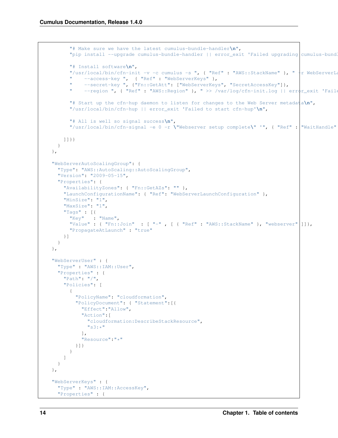```
"# Make sure we have the latest cumulus-bundle-handler\n",
      "pip install --upgrade cumulus-bundle-handler || error_exit 'Failed upgrading cumulus-bundle-handler to the latest version'\n",
      "# Install software\n",
      "/usr/local/bin/cfn-init -v -c cumulus -s ", { "Ref" : "AWS::StackName" }, " +r WebServerLaunch
           --access-key ", { "Ref" : "WebServerKeys" },
           --secret-key ", {"Fn::GetAtt": ["WebServerKeys", "SecretAccessKey"]},
      " --region ", { "Ref" : "AWS::Region" }, " >> /var/log/cfn-init.log || error_exit 'Faile
      "# Start up the cfn-hup daemon to listen for changes to the Web Server metadata\n",
      "/usr/local/bin/cfn-hup || error_exit 'Failed to start cfn-hup'\n",
      "# All is well so signal success\n",
      "/usr/local/bin/cfn-signal -e 0 -r \"Webserver setup complete\" '", { "Ref" : "WaitHandle" }, "'\n"
    ]]}}
  }
},
"WebServerAutoScalingGroup": {
  "Type": "AWS::AutoScaling::AutoScalingGroup",
  "Version": "2009-05-15",
  "Properties": {
   "AvailabilityZones": { "Fn::GetAZs": "" },
    "LaunchConfigurationName": { "Ref": "WebServerLaunchConfiguration" },
    "MinSize": "1",
    "MaxSize": "1",
    "Tags" : [{
      "Key" : "Name",
      "Value" : { "Fn::Join" : [ "-" , [ { "Ref" : "AWS::StackName" }, "webserver" ]]},
      "PropagateAtLaunch" : "true"
    }]
  }
},
"WebServerUser" : {
  "Type" : "AWS::IAM::User",
  "Properties" : {
    "Path": "/",
    "Policies": [
      {
        "PolicyName": "cloudformation",
        "PolicyDocument": { "Statement":[{
          "Effect":"Allow",
          "Action":[
            "cloudformation:DescribeStackResource",
            "s3:**"\frac{1}{2},
          "Resource":"*"
        }]}
      }
    ]
  }
},
"WebServerKeys" : {
  "Type" : "AWS::IAM::AccessKey",
  "Properties" : {
```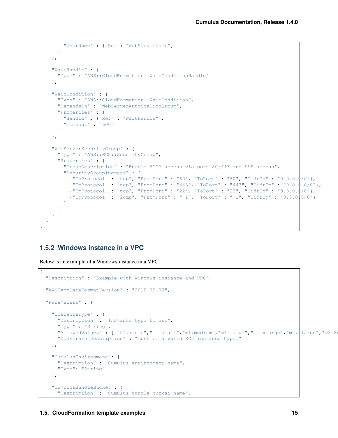```
"UserName" : {"Ref": "WebServerUser"}
   }
 },
 "WaitHandle" : {
   "Type" : "AWS::CloudFormation::WaitConditionHandle"
 },
 "WaitCondition" : {
   "Type" : "AWS::CloudFormation::WaitCondition",
   "DependsOn" : "WebServerAutoScalingGroup",
   "Properties" : {
     "Handle" : {"Ref" : "WaitHandle"},
     "Timeout" : "600"
   }
 },
 "WebServerSecurityGroup" : {
   "Type" : "AWS::EC2::SecurityGroup",
    "Properties" : {
      "GroupDescription" : "Enable HTTP access via port 80/443 and SSH access",
      "SecurityGroupIngress" : [
       {"IpProtocol" : "tcp", "FromPort" : "80", "ToPort" : "80", "CidrIp" : "0.0.0.0/0"},
        {"IpProtocol" : "tcp", "FromPort" : "443", "ToPort" : "443", "CidrIp" : "0.0.0.0/0"},
        {"IpProtocol" : "tcp", "FromPort" : "22", "ToPort" : "22", "CidrIp" : "0.0.0.0/0"},
       {"IpProtocol" : "icmp", "FromPort" : "-1", "ToPort" : "-1", "CidrIp" : "0.0.0.0/0"}
     ]
   }
 }
}
```
# <span id="page-18-0"></span>**1.5.2 Windows instance in a VPC**

}

Below is an example of a Windows instance in a VPC.

```
{
 "Description" : "Example with Windows instance and VPC",
 "AWSTemplateFormatVersion" : "2010-09-09",
 "Parameters" : {
   "InstanceType" : {
     "Description" : "Instance type to use",
     "Type" : "String",
     "AllowedValues" : [ "t1.micro","m1.small","m1.medium","m1.large","m1.xlarge","m2.xlarge","m2.2x
     "ConstraintDescription" : "must be a valid EC2 instance type."
   },
   "CumulusEnvironment": {
     "Description" : "Cumulus environment name",
     "Type": "String"
   },
   "CumulusBundleBucket": {
     "Description" : "Cumulus bundle bucket name",
```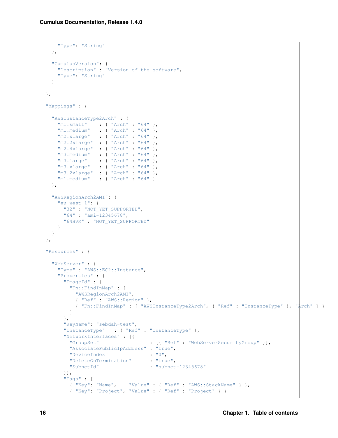```
"Type": "String"
 },
  "CumulusVersion": {
   "Description" : "Version of the software",
   "Type": "String"
 }
},
"Mappings" : {
  "AWSInstanceType2Arch" : {
    "m1.small" : { "Arch" : "64" },
    "m1.medium" : { "Arch" : "64" },
   "m2.xlarge" : { "Arch" : "64" },
   "m2.2xlarge" : { "Arch" : "64" },
    "m2.4xlarge" : { "Arch" : "64" },
    "m3.medium" : { "Arch" : "64" },
    "m3.large" : { "Arch" : "64" },
    "m3.xlarge" : { "Arch" : "64" },
    "m3.2xlarge" : { "Arch" : "64" },
   "m1.medium" : { "Arch" : "64" }
 },
 "AWSRegionArch2AMI": {
   "eu-west-1": {
     "32" : "NOT_YET_SUPPORTED",
     "64" : "ami-12345678",
     "64HVM" : "NOT_YET_SUPPORTED"
   }
  }
},
"Resources" : {
 "WebServer" : {
   "Type" : "AWS::EC2::Instance",
    "Properties" : {
     "ImageId" : {
       "Fn::FindInMap" : [
         "AWSRegionArch2AMI",
         { "Ref" : "AWS::Region" },
         { "Fn::FindInMap" : [ "AWSInstanceType2Arch", { "Ref" : "InstanceType" }, "Arch" ] }
       ]
     },
     "KeyName": "sebdah-test",
     "InstanceType" : { "Ref" : "InstanceType" },
     "NetworkInterfaces" : [{
       "GroupSet" : [{ "Ref" : "WebServerSecurityGroup" }],
       "AssociatePublicIpAddress" : "true",
       "DeviceIndex" : "0",
       "DeleteOnTermination" : "true",
       "SubnetId" : "subnet-12345678"
     }],
      "Tags" : [
       { "Key": "Name", "Value" : { "Ref" : "AWS::StackName" } },
       { "Key": "Project", "Value" : { "Ref" : "Project" } }
```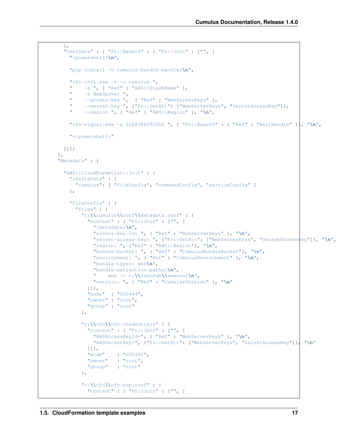```
],
 "UserData" : { "Fn::Base64" : { "Fn::Join" : ["", [
   "<powershell>\n",
   "pip install -U cumulus-bundle-handler\n",
   "cfn-init.exe -v -c cumulus ",
       " -s ", { "Ref" : "AWS::StackName" },
    " -r WebServer ",
    " --access-key ", { "Ref" : "WebServerKeys" },
    " --secret-key ", {"Fn::GetAtt": ["WebServerKeys", "SecretAccessKey"]},
    " --region ", { "Ref" : "AWS::Region" }, "\n",
   "cfn-signal.exe -e $LASTEXITCODE ", { "Fn::Base64" : { "Ref" : "WaitHandle" }}, "\n",
   "</powershell>"
 ]]}}
},
"Metadata" : {
 "AWS::CloudFormation::Init" : {
   "configSets" : {
     "cumulus": [ "fileConfig", "commandConfig", "serviceConfig" ]
   },
   "fileConfig" : {
     "files" : {
       "c:\\cumulus\\conf\\metadata.conf" : {
         "content" : { "Fn::Join" : ["", [
           "[metadata]\n",
           "access-key-id: ", { "Ref" : "WebServerKeys" }, "\n",
           "secret-access-key: ", {"Fn::GetAtt": ["WebServerKeys", "SecretAccessKey"]}, "\n",
           "region: ", {"Ref" : "AWS::Region"}, "\n",
           "bundle-bucket: ", { "Ref" : "CumulusBundleBucket"}, "\n",
           "environment: ", { "Ref" : "CumulusEnvironment" }, "\n",
           "bundle-types: web\n",
           "bundle-extraction-paths:\n",
           " web -> c:\\InetPub\\wwwroot\n",
           "version: ", { "Ref" : "CumulusVersion" }, "\n"
         ]]},
         "mode" : "000644",
         "owner" : "root",
         "group" : "root"
       },
       "c:\\cfn\\cfn-credentials" : {
         "content" : { "Fn::Join" : ["", [
           "AWSAccessKeyId=", { "Ref" : "WebServerKeys" }, "\n",
           "AWSSecretKey=", {"Fn::GetAtt": ["WebServerKeys", "SecretAccessKey"]}, "\n"
         ]]},
         "mode" : "000400",
         "owner" : "root",
         "group" : "root"
       },
       "c:\\cfn\\cfn-hup.conf" : {
         "content" : { "Fn::Join" : ["", [
```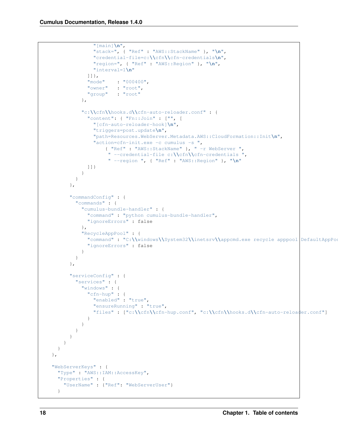```
"[main]\n",
              "stack=", { "Ref" : "AWS::StackName" }, "\n",
              "credential-file=c:\\cfn\\cfn-credentials\n",
              "region=", { "Ref" : "AWS::Region" }, "\n",
              "interval=1\n"
            ]]},
            "mode" : "000400",
            "owner" : "root",
            "group" : "root"
          },
          "c:\\cfn\\hooks.d\\cfn-auto-reloader.conf" : {
            "content": { "Fn::Join" : ["", [
              "[cfn-auto-reloader-hook]\n",
              "triggers=post.update\n",
              "path=Resources.WebServer.Metadata.AWS::CloudFormation::Init\n",
              "action=cfn-init.exe -c cumulus -s ",
                  { "Ref" : "AWS::StackName" }, " -r WebServer ",
                   " --credential-file c:\\cfn\\cfn-credentials ",
                   " --region ", { "Ref" : "AWS::Region" }, "\n"
            ]]}
          }
        }
      },
      "commandConfig" : {
        "commands" : {
          "cumulus-bundle-handler" : {
            "command" : "python cumulus-bundle-handler",
            "ignoreErrors" : false
          },
          "RecycleAppPool" : {
            "command" : "C:\\windows\\System32\\inetsrv\\appcmd.exe recycle apppool DefaultAppPool",
            "ignoreErrors" : false
          }
        }
      },
      "serviceConfig" : {
        "services" : {
          "windows" : {
            "cfn-hup" : {
              "enabled" : "true",
              "ensureRunning" : "true",
              "files" : ["c:\\cfn\\cfn-hup.conf", "c:\\cfn\\hooks.d\\cfn-auto-reloader.conf"]
            }
          }
       }
     }
    }
  }
},
"WebServerKeys" : {
  "Type" : "AWS::IAM::AccessKey",
  "Properties" : {
    "UserName" : {"Ref": "WebServerUser"}
  }
```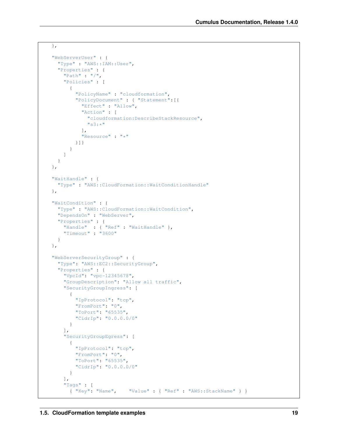```
},
"WebServerUser" : {
  "Type" : "AWS::IAM::User",
  "Properties" : {
    "Path" : "/",
    "Policies" : [
      {
         "PolicyName" : "cloudformation",
         "PolicyDocument" : { "Statement":[{
           "Effect" : "Allow",
           "Action" : [
             "cloudformation:DescribeStackResource",
             ^{\prime\prime} s3: \star ^{\prime\prime}\frac{1}{2},
           "Resource" : "*"
        }]}
       }
    ]
  }
},
"WaitHandle" : {
  "Type" : "AWS::CloudFormation::WaitConditionHandle"
},
"WaitCondition" : {
  "Type" : "AWS::CloudFormation::WaitCondition",
  "DependsOn" : "WebServer",
  "Properties" : {
    "Handle" : { "Ref" : "WaitHandle" },
    "Timeout" : "3600"
  }
},
"WebServerSecurityGroup" : {
  "Type": "AWS::EC2::SecurityGroup",
  "Properties" : {
    "VpcId": "vpc-12345678",
    "GroupDescription": "Allow all traffic",
    "SecurityGroupIngress": [
       {
         "IpProtocol": "tcp",
        "FromPort": "0",
        "ToPort": "65535",
         "CidrIp": "0.0.0.0/0"
      }
    ],
    "SecurityGroupEgress": [
      \{"IpProtocol": "tcp",
        "FromPort": "0",
        "ToPort": "65535",
        "CidrIp": "0.0.0.0/0"
      }
    \cdot"Tags" : [<br>\{ "Key": "Name",
                           { "Key": "Name", "Value" : { "Ref" : "AWS::StackName" } }
```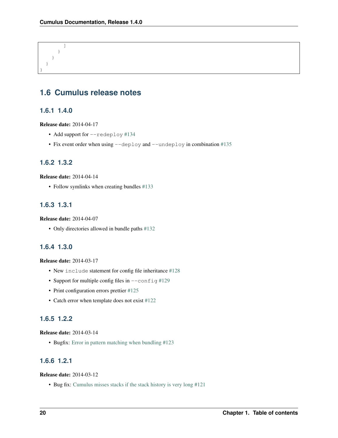] } } } }

# <span id="page-23-0"></span>**1.6 Cumulus release notes**

# <span id="page-23-1"></span>**1.6.1 1.4.0**

Release date: 2014-04-17

- Add support for --redeploy [#134](https://github.com/skymill/cumulus/issues/134)
- Fix event order when using  $-\text{depth}$  and  $-\text{under}$   $\log$  in combination [#135](https://github.com/skymill/cumulus/issues/135)

### <span id="page-23-2"></span>**1.6.2 1.3.2**

Release date: 2014-04-14

• Follow symlinks when creating bundles [#133](https://github.com/skymill/cumulus/issues/133)

### <span id="page-23-3"></span>**1.6.3 1.3.1**

Release date: 2014-04-07

• Only directories allowed in bundle paths [#132](https://github.com/skymill/cumulus/issues/132)

### <span id="page-23-4"></span>**1.6.4 1.3.0**

#### Release date: 2014-03-17

- New include statement for config file inheritance [#128](https://github.com/skymill/cumulus/issues/128)
- Support for multiple config files in  $--$ config [#129](https://github.com/skymill/cumulus/issues/129)
- Print configuration errors prettier [#125](https://github.com/skymill/cumulus/issues/125)
- Catch error when template does not exist [#122](https://github.com/skymill/cumulus/issues/122)

# <span id="page-23-5"></span>**1.6.5 1.2.2**

#### Release date: 2014-03-14

• Bugfix: [Error in pattern matching when bundling #123](https://github.com/skymill/cumulus/issues/123)

### <span id="page-23-6"></span>**1.6.6 1.2.1**

#### Release date: 2014-03-12

• Bug fix: [Cumulus misses stacks if the stack history is very long #121](https://github.com/skymill/cumulus/issues/121)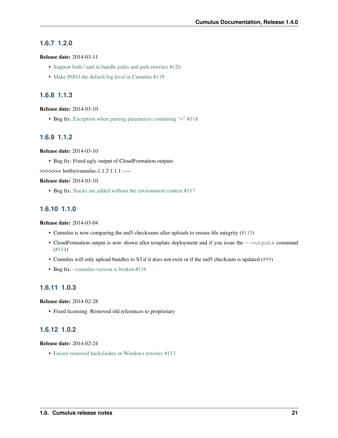# <span id="page-24-0"></span>**1.6.7 1.2.0**

#### Release date: 2014-03-11

- [Support both / and in bundle paths and path rewrites #120](https://github.com/skymill/cumulus/issues/120)
- [Make INFO the default log level in Cumulus #119](https://github.com/skymill/cumulus/issues/119)

### <span id="page-24-1"></span>**1.6.8 1.1.3**

#### Release date: 2014-03-10

• Bug fix: [Exception when parsing parameters containing "=" #118](https://github.com/skymill/cumulus/issues/118)

# <span id="page-24-2"></span>**1.6.9 1.1.2**

Release date: 2014-03-10

• Bug fix: Fixed ugly output of CloudFormation outputs

>>>>>>> hotfix/cumulus-1.1.2 1.1.1 —–

#### Release date: 2014-03-10

• Bug fix: [Stacks are added without the environment context #117](https://github.com/skymill/cumulus/issues/117)

### <span id="page-24-3"></span>**1.6.10 1.1.0**

#### Release date: 2014-03-04

- Cumulus is now comparing the md5 checksums after uploads to ensure file integrity [\(#115\)](https://github.com/skymill/cumulus/issues/115)
- CloudFormation output is now shown after template deployment and if you issue the --outputs command [\(#114\)](https://github.com/skymill/cumulus/issues/114)
- Cumulus will only upload bundles to S3 if it does not exist or if the md5 checksum is updated [\(#99\)](https://github.com/skymill/cumulus/issues/99)
- Bug fix: -cumulus-version is broken #116

### <span id="page-24-4"></span>**1.6.11 1.0.3**

#### Release date: 2014-02-28

• Fixed licensing. Removed old references to proprietary

# <span id="page-24-5"></span>**1.6.12 1.0.2**

#### Release date: 2014-02-24

• [Ensure removed backslashes in Windows rewrites #113](https://github.com/skymill/cumulus/issues/113)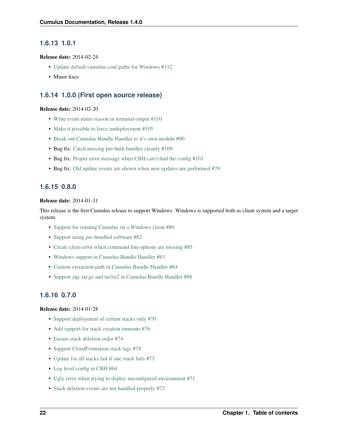# <span id="page-25-0"></span>**1.6.13 1.0.1**

#### Release date: 2014-02-24

- [Update default cumulus.conf paths for Windows #112](https://github.com/skymill/cumulus/issues/112)
- Minor fixes

### <span id="page-25-1"></span>**1.6.14 1.0.0 (First open source release)**

#### Release date: 2014-02-20

- [Write event status reason in terminal output #110](https://github.com/skymill/cumulus/issues/110)
- [Make it possible to force undeployment #105](https://github.com/skymill/cumulus/issues/105)
- [Break out Cumulus Bundle Handler to it's own module #90](https://github.com/skymill/cumulus/issues/90)
- Bug fix: [Catch missing pre-built bundles cleanly #109](https://github.com/skymill/cumulus/issues/109)
- Bug fix: [Proper error message when CBH can't find the config #101](https://github.com/skymill/cumulus/issues/101)
- Bug fix: [Old update events are shown when new updates are performed #79](https://github.com/skymill/cumulus/issues/79)

### <span id="page-25-2"></span>**1.6.15 0.8.0**

#### Release date: 2014-01-31

This release is the first Cumulus release to support Windows. Windows is supported both as client system and a target system.

- [Support for running Cumulus on a Windows client #80](https://github.com/skymill/cumulus/issues/80)
- [Support using pre-bundled software #82](https://github.com/skymill/cumulus/issues/82)
- [Create clean error when command line options are missing #85](https://github.com/skymill/cumulus/issues/85)
- [Windows support in Cumulus Bundle Handler #83](https://github.com/skymill/cumulus/issues/83)
- [Custom extraction path in Cumulus Bundle Handler #84](https://github.com/skymill/cumulus/issues/84)
- [Support zip, tar.gz and tar.bz2 in Cumulus Bundle Handler #88](https://github.com/skymill/cumulus/issues/88)

# <span id="page-25-3"></span>**1.6.16 0.7.0**

#### Release date: 2014-01-28

- [Support deployment of certain stacks only #70](https://github.com/skymill/cumulus/issues/70)
- [Add support for stack creation timeouts #76](https://github.com/skymill/cumulus/issues/76)
- [Ensure stack deletion order #74](https://github.com/skymill/cumulus/issues/74)
- [Support CloudFormation stack tags #78](https://github.com/skymill/cumulus/issues/78)
- [Update for all stacks fail if one stack fails #73](https://github.com/skymill/cumulus/issues/73)
- [Log level config in CBH #64](https://github.com/skymill/cumulus/issues/64)
- [Ugly error when trying to deploy unconfigured environment #71](https://github.com/skymill/cumulus/issues/71)
- [Stack deletion events are not handled properly #72](https://github.com/skymill/cumulus/issues/72)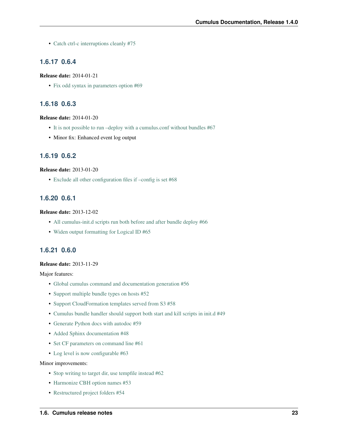• [Catch ctrl-c interruptions cleanly #75](https://github.com/skymill/cumulus/issues/75)

# <span id="page-26-0"></span>**1.6.17 0.6.4**

#### Release date: 2014-01-21

• [Fix odd syntax in parameters option #69](https://github.com/skymill/cumulus/issues/69)

### <span id="page-26-1"></span>**1.6.18 0.6.3**

#### Release date: 2014-01-20

- [It is not possible to run –deploy with a cumulus.conf without bundles #67](https://github.com/skymill/cumulus/issues/67)
- Minor fix: Enhanced event log output

# <span id="page-26-2"></span>**1.6.19 0.6.2**

#### Release date: 2013-01-20

• [Exclude all other configuration files if –config is set #68](https://github.com/skymill/cumulus/issues/68)

### <span id="page-26-3"></span>**1.6.20 0.6.1**

#### Release date: 2013-12-02

- [All cumulus-init.d scripts run both before and after bundle deploy #66](https://github.com/skymill/cumulus/issues/66)
- [Widen output formatting for Logical ID #65](https://github.com/skymill/cumulus/issues/65)

# <span id="page-26-4"></span>**1.6.21 0.6.0**

#### Release date: 2013-11-29

Major features:

- [Global cumulus command and documentation generation #56](https://github.com/skymill/cumulus/issues/56)
- [Support multiple bundle types on hosts #52](https://github.com/skymill/cumulus/issues/52)
- [Support CloudFormation templates served from S3 #58](https://github.com/skymill/cumulus/issues/58)
- [Cumulus bundle handler should support both start and kill scripts in init.d #49](https://github.com/skymill/cumulus/issues/49)
- [Generate Python docs with autodoc #59](https://github.com/skymill/cumulus/issues/59)
- [Added Sphinx documentation #48](https://github.com/skymill/cumulus/issues/48)
- [Set CF parameters on command line #61](https://github.com/skymill/cumulus/issues/61)
- [Log level is now configurable #63](https://github.com/skymill/cumulus/issues/63)

#### Minor improvements:

- [Stop writing to target dir, use tempfile instead #62](https://github.com/skymill/cumulus/issues/62)
- [Harmonize CBH option names #53](https://github.com/skymill/cumulus/issues/53)
- [Restructured project folders #54](https://github.com/skymill/cumulus/issues/54)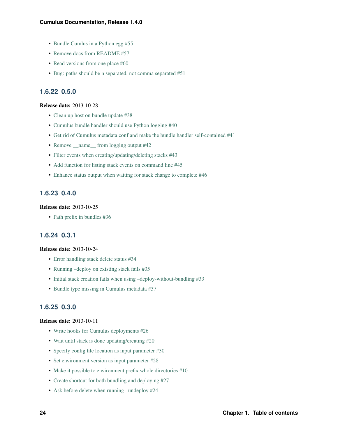- [Bundle Cumlus in a Python egg #55](https://github.com/skymill/cumulus/issues/55)
- [Remove docs from README #57](https://github.com/skymill/cumulus/issues/57)
- [Read versions from one place #60](https://github.com/skymill/cumulus/issues/60)
- [Bug: paths should be n separated, not comma separated #51](https://github.com/skymill/cumulus/issues/51)

### <span id="page-27-0"></span>**1.6.22 0.5.0**

#### Release date: 2013-10-28

- [Clean up host on bundle update #38](https://github.com/skymill/cumulus/issues/38)
- [Cumulus bundle handler should use Python logging #40](https://github.com/skymill/cumulus/issues/40)
- [Get rid of Cumulus metadata.conf and make the bundle handler self-contained #41](https://github.com/skymill/cumulus/issues/41)
- Remove \_\_\_ name\_\_\_ from logging output #42
- [Filter events when creating/updating/deleting stacks #43](https://github.com/skymill/cumulus/issues/43)
- [Add function for listing stack events on command line #45](https://github.com/skymill/cumulus/issues/45)
- [Enhance status output when waiting for stack change to complete #46](https://github.com/skymill/cumulus/issues/46)

### <span id="page-27-1"></span>**1.6.23 0.4.0**

#### Release date: 2013-10-25

• [Path prefix in bundles #36](https://github.com/skymill/cumulus/issues/36)

#### <span id="page-27-2"></span>**1.6.24 0.3.1**

#### Release date: 2013-10-24

- [Error handling stack delete status #34](https://github.com/skymill/cumulus/issues/34)
- [Running –deploy on existing stack fails #35](https://github.com/skymill/cumulus/issues/35)
- [Initial stack creation fails when using –deploy-without-bundling #33](https://github.com/skymill/cumulus/issues/33)
- [Bundle type missing in Cumulus metadata #37](https://github.com/skymill/cumulus/issues/37)

### <span id="page-27-3"></span>**1.6.25 0.3.0**

#### Release date: 2013-10-11

- [Write hooks for Cumulus deployments #26](https://github.com/skymill/cumulus/issues/26)
- [Wait until stack is done updating/creating #20](https://github.com/skymill/cumulus/issues/20)
- [Specify config file location as input parameter #30](https://github.com/skymill/cumulus/issues/30)
- [Set environment version as input parameter #28](https://github.com/skymill/cumulus/issues/28)
- [Make it possible to environment prefix whole directories #10](https://github.com/skymill/cumulus/issues/10)
- [Create shortcut for both bundling and deploying #27](https://github.com/skymill/cumulus/issues/27)
- [Ask before delete when running –undeploy #24](https://github.com/skymill/cumulus/issues/24)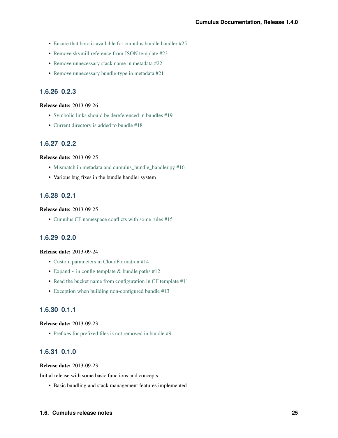- [Ensure that boto is available for cumulus bundle handler #25](https://github.com/skymill/cumulus/issues/25)
- [Remove skymill reference from JSON template #23](https://github.com/skymill/cumulus/issues/23)
- [Remove unnecessary stack name in metadata #22](https://github.com/skymill/cumulus/issues/22)
- [Remove unnecessary bundle-type in metadata #21](https://github.com/skymill/cumulus/issues/21)

# <span id="page-28-0"></span>**1.6.26 0.2.3**

#### Release date: 2013-09-26

- [Symbolic links should be dereferenced in bundles #19](https://github.com/skymill/cumulus/issues/19)
- [Current directory is added to bundle #18](https://github.com/skymill/cumulus/issues/18)

### <span id="page-28-1"></span>**1.6.27 0.2.2**

#### Release date: 2013-09-25

- [Mismatch in metadata and cumulus\\_bundle\\_handler.py #16](https://github.com/skymill/cumulus/issues/16)
- Various bug fixes in the bundle handler system

# <span id="page-28-2"></span>**1.6.28 0.2.1**

#### Release date: 2013-09-25

• [Cumulus CF namespace conflicts with some rules #15](https://github.com/skymill/cumulus/issues/15)

# <span id="page-28-3"></span>**1.6.29 0.2.0**

#### Release date: 2013-09-24

- [Custom parameters in CloudFormation #14](https://github.com/skymill/cumulus/issues/14)
- Expand  $\sim$  in config template & bundle paths #12
- [Read the bucket name from configuration in CF template #11](https://github.com/skymill/cumulus/issues/11)
- [Exception when building non-configured bundle #13](https://github.com/skymill/cumulus/issues/13)

### <span id="page-28-4"></span>**1.6.30 0.1.1**

#### Release date: 2013-09-23

• [Prefixes for prefixed files is not removed in bundle #9](https://github.com/skymill/cumulus/issues/9)

# <span id="page-28-5"></span>**1.6.31 0.1.0**

#### Release date: 2013-09-23

Initial release with some basic functions and concepts.

• Basic bundling and stack management features implemented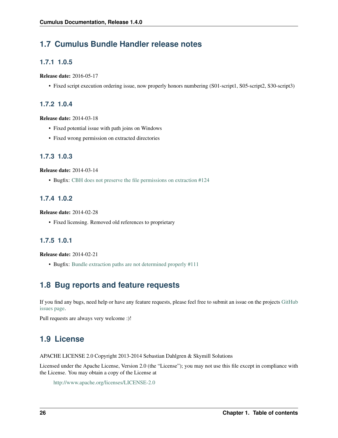# <span id="page-29-0"></span>**1.7 Cumulus Bundle Handler release notes**

# <span id="page-29-1"></span>**1.7.1 1.0.5**

Release date: 2016-05-17

• Fixed script execution ordering issue, now properly honors numbering (S01-script1, S05-script2, S30-script3)

### <span id="page-29-2"></span>**1.7.2 1.0.4**

Release date: 2014-03-18

- Fixed potential issue with path joins on Windows
- Fixed wrong permission on extracted directories

# <span id="page-29-3"></span>**1.7.3 1.0.3**

Release date: 2014-03-14

• Bugfix: [CBH does not preserve the file permissions on extraction #124](https://github.com/skymill/cumulus/issues/124)

# <span id="page-29-4"></span>**1.7.4 1.0.2**

Release date: 2014-02-28

• Fixed licensing. Removed old references to proprietary

# <span id="page-29-5"></span>**1.7.5 1.0.1**

Release date: 2014-02-21

• Bugfix: [Bundle extraction paths are not determined properly #111](https://github.com/skymill/cumulus/issues/111)

# <span id="page-29-6"></span>**1.8 Bug reports and feature requests**

If you find any bugs, need help or have any feature requests, please feel free to submit an issue on the projects [GitHub](https://github.com/skymill/cumulus/issues) [issues page.](https://github.com/skymill/cumulus/issues)

Pull requests are always very welcome :)!

# <span id="page-29-7"></span>**1.9 License**

APACHE LICENSE 2.0 Copyright 2013-2014 Sebastian Dahlgren & Skymill Solutions

Licensed under the Apache License, Version 2.0 (the "License"); you may not use this file except in compliance with the License. You may obtain a copy of the License at

```
http://www.apache.org/licenses/LICENSE-2.0
```